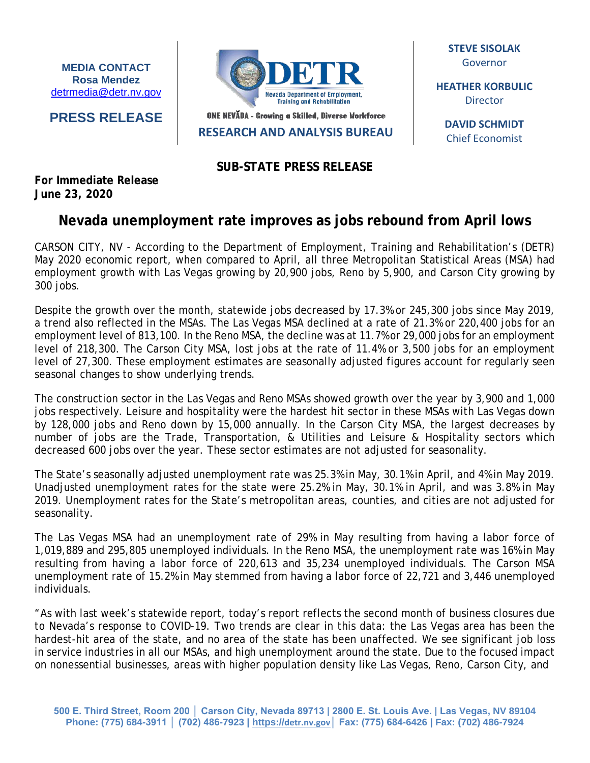**MEDIA CONTACT Rosa Mendez** [detrmedia@detr.nv.gov](mailto:detrmedia@detr.nv.gov)

**PRESS RELEASE**



ONE NEVADA - Growing a Skilled, Diverse Workforce

**RESEARCH AND ANALYSIS BUREAU**

**SUB-STATE PRESS RELEASE**

**STEVE SISOLAK** Governor

**HEATHER KORBULIC** Director

**DAVID SCHMIDT** Chief Economist

**For Immediate Release June 23, 2020**

## **Nevada unemployment rate improves as jobs rebound from April lows**

CARSON CITY, NV - According to the Department of Employment, Training and Rehabilitation's (DETR) May 2020 economic report, when compared to April, all three Metropolitan Statistical Areas (MSA) had employment growth with Las Vegas growing by 20,900 jobs, Reno by 5,900, and Carson City growing by 300 jobs.

Despite the growth over the month, statewide jobs decreased by 17.3% or 245,300 jobs since May 2019, a trend also reflected in the MSAs. The Las Vegas MSA declined at a rate of 21.3% or 220,400 jobs for an employment level of 813,100. In the Reno MSA, the decline was at 11.7% or 29,000 jobs for an employment level of 218,300. The Carson City MSA, lost jobs at the rate of 11.4% or 3,500 jobs for an employment level of 27,300. These employment estimates are seasonally adjusted figures account for regularly seen seasonal changes to show underlying trends.

The construction sector in the Las Vegas and Reno MSAs showed growth over the year by 3,900 and 1,000 jobs respectively. Leisure and hospitality were the hardest hit sector in these MSAs with Las Vegas down by 128,000 jobs and Reno down by 15,000 annually. In the Carson City MSA, the largest decreases by number of jobs are the Trade, Transportation, & Utilities and Leisure & Hospitality sectors which decreased 600 jobs over the year. These sector estimates are not adjusted for seasonality.

The State's seasonally adjusted unemployment rate was 25.3% in May, 30.1% in April, and 4% in May 2019. Unadjusted unemployment rates for the state were 25.2% in May, 30.1% in April, and was 3.8% in May 2019. Unemployment rates for the State's metropolitan areas, counties, and cities are not adjusted for seasonality.

The Las Vegas MSA had an unemployment rate of 29% in May resulting from having a labor force of 1,019,889 and 295,805 unemployed individuals. In the Reno MSA, the unemployment rate was 16% in May resulting from having a labor force of 220,613 and 35,234 unemployed individuals. The Carson MSA unemployment rate of 15.2% in May stemmed from having a labor force of 22,721 and 3,446 unemployed individuals.

"As with last week's statewide report, today's report reflects the second month of business closures due to Nevada's response to COVID-19. Two trends are clear in this data: the Las Vegas area has been the hardest-hit area of the state, and no area of the state has been unaffected. We see significant job loss in service industries in all our MSAs, and high unemployment around the state. Due to the focused impact on nonessential businesses, areas with higher population density like Las Vegas, Reno, Carson City, and